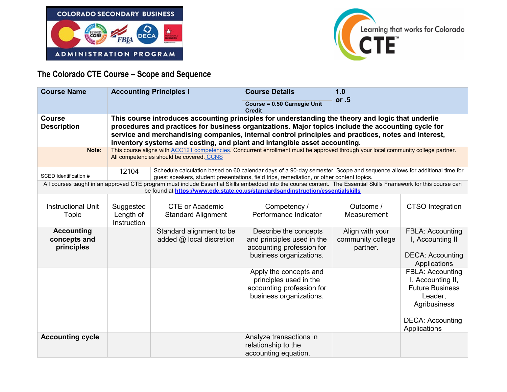



## **The Colorado CTE Course – Scope and Sequence**

| <b>Course Name</b>                                                                                                                                                                                                                                  | <b>Accounting Principles I</b>                                                                                                                                                                                                                                                                                                                                                              |                                                      | <b>Course Details</b>                                                                                       | 1.0                                              |                                                                                                                       |
|-----------------------------------------------------------------------------------------------------------------------------------------------------------------------------------------------------------------------------------------------------|---------------------------------------------------------------------------------------------------------------------------------------------------------------------------------------------------------------------------------------------------------------------------------------------------------------------------------------------------------------------------------------------|------------------------------------------------------|-------------------------------------------------------------------------------------------------------------|--------------------------------------------------|-----------------------------------------------------------------------------------------------------------------------|
|                                                                                                                                                                                                                                                     |                                                                                                                                                                                                                                                                                                                                                                                             |                                                      | Course = 0.50 Carnegie Unit<br><b>Credit</b>                                                                | or $.5$                                          |                                                                                                                       |
| <b>Course</b><br><b>Description</b>                                                                                                                                                                                                                 | This course introduces accounting principles for understanding the theory and logic that underlie<br>procedures and practices for business organizations. Major topics include the accounting cycle for<br>service and merchandising companies, internal control principles and practices, notes and interest,<br>inventory systems and costing, and plant and intangible asset accounting. |                                                      |                                                                                                             |                                                  |                                                                                                                       |
| Note:                                                                                                                                                                                                                                               | This course aligns with ACC121 competencies. Concurrent enrollment must be approved through your local community college partner.<br>All competencies should be covered. CCNS                                                                                                                                                                                                               |                                                      |                                                                                                             |                                                  |                                                                                                                       |
| SCED Identification #                                                                                                                                                                                                                               | Schedule calculation based on 60 calendar days of a 90-day semester. Scope and sequence allows for additional time for<br>12104<br>guest speakers, student presentations, field trips, remediation, or other content topics.                                                                                                                                                                |                                                      |                                                                                                             |                                                  |                                                                                                                       |
| All courses taught in an approved CTE program must include Essential Skills embedded into the course content. The Essential Skills Framework for this course can<br>be found at https://www.cde.state.co.us/standardsandinstruction/essentialskills |                                                                                                                                                                                                                                                                                                                                                                                             |                                                      |                                                                                                             |                                                  |                                                                                                                       |
| <b>Instructional Unit</b><br>Topic                                                                                                                                                                                                                  | Suggested<br>Length of<br>Instruction                                                                                                                                                                                                                                                                                                                                                       | <b>CTE or Academic</b><br><b>Standard Alignment</b>  | Competency /<br>Performance Indicator                                                                       | Outcome /<br>Measurement                         | <b>CTSO</b> Integration                                                                                               |
| <b>Accounting</b><br>concepts and<br>principles                                                                                                                                                                                                     |                                                                                                                                                                                                                                                                                                                                                                                             | Standard alignment to be<br>added @ local discretion | Describe the concepts<br>and principles used in the<br>accounting profession for<br>business organizations. | Align with your<br>community college<br>partner. | FBLA: Accounting<br>I, Accounting II<br><b>DECA: Accounting</b><br>Applications                                       |
|                                                                                                                                                                                                                                                     |                                                                                                                                                                                                                                                                                                                                                                                             |                                                      | Apply the concepts and<br>principles used in the<br>accounting profession for<br>business organizations.    |                                                  | FBLA: Accounting<br>I, Accounting II,<br><b>Future Business</b><br>Leader,<br>Agribusiness<br><b>DECA: Accounting</b> |
| <b>Accounting cycle</b>                                                                                                                                                                                                                             |                                                                                                                                                                                                                                                                                                                                                                                             |                                                      | Analyze transactions in<br>relationship to the<br>accounting equation.                                      |                                                  | Applications                                                                                                          |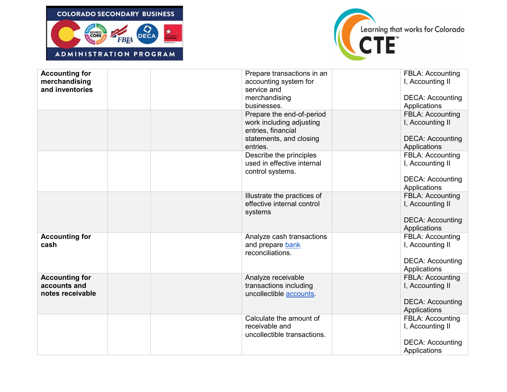



| <b>Accounting for</b><br>merchandising<br>and inventories | Prepare transactions in an<br>accounting system for<br>service and<br>merchandising<br>businesses.                 | <b>FBLA: Accounting</b><br>I, Accounting II<br><b>DECA: Accounting</b><br>Applications |
|-----------------------------------------------------------|--------------------------------------------------------------------------------------------------------------------|----------------------------------------------------------------------------------------|
|                                                           | Prepare the end-of-period<br>work including adjusting<br>entries, financial<br>statements, and closing<br>entries. | FBLA: Accounting<br>I, Accounting II<br><b>DECA: Accounting</b><br>Applications        |
|                                                           | Describe the principles<br>used in effective internal<br>control systems.                                          | <b>FBLA: Accounting</b><br>I, Accounting II<br><b>DECA: Accounting</b><br>Applications |
|                                                           | Illustrate the practices of<br>effective internal control<br>systems                                               | FBLA: Accounting<br>I, Accounting II<br><b>DECA: Accounting</b><br>Applications        |
| <b>Accounting for</b><br>cash                             | Analyze cash transactions<br>and prepare bank<br>reconciliations.                                                  | FBLA: Accounting<br>I, Accounting II<br><b>DECA: Accounting</b><br>Applications        |
| <b>Accounting for</b><br>accounts and<br>notes receivable | Analyze receivable<br>transactions including<br>uncollectible accounts.                                            | <b>FBLA: Accounting</b><br>I, Accounting II<br><b>DECA: Accounting</b><br>Applications |
|                                                           | Calculate the amount of<br>receivable and<br>uncollectible transactions.                                           | <b>FBLA: Accounting</b><br>I, Accounting II<br><b>DECA: Accounting</b><br>Applications |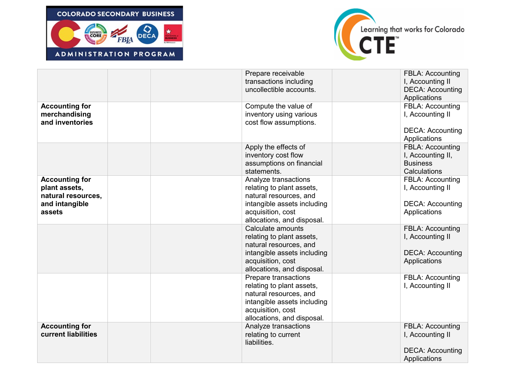



|                                                                                          | Prepare receivable<br>transactions including<br>uncollectible accounts.                                                                                       | <b>FBLA: Accounting</b><br>I, Accounting II<br><b>DECA: Accounting</b><br>Applications |
|------------------------------------------------------------------------------------------|---------------------------------------------------------------------------------------------------------------------------------------------------------------|----------------------------------------------------------------------------------------|
| <b>Accounting for</b><br>merchandising<br>and inventories                                | Compute the value of<br>inventory using various<br>cost flow assumptions.                                                                                     | <b>FBLA: Accounting</b><br>I, Accounting II<br><b>DECA: Accounting</b><br>Applications |
|                                                                                          | Apply the effects of<br>inventory cost flow<br>assumptions on financial<br>statements.                                                                        | <b>FBLA: Accounting</b><br>I, Accounting II,<br><b>Business</b><br>Calculations        |
| <b>Accounting for</b><br>plant assets,<br>natural resources,<br>and intangible<br>assets | Analyze transactions<br>relating to plant assets,<br>natural resources, and<br>intangible assets including<br>acquisition, cost<br>allocations, and disposal. | <b>FBLA: Accounting</b><br>I, Accounting II<br><b>DECA: Accounting</b><br>Applications |
|                                                                                          | Calculate amounts<br>relating to plant assets,<br>natural resources, and<br>intangible assets including<br>acquisition, cost<br>allocations, and disposal.    | <b>FBLA: Accounting</b><br>I, Accounting II<br><b>DECA: Accounting</b><br>Applications |
|                                                                                          | Prepare transactions<br>relating to plant assets,<br>natural resources, and<br>intangible assets including<br>acquisition, cost<br>allocations, and disposal. | <b>FBLA: Accounting</b><br>I, Accounting II                                            |
| <b>Accounting for</b><br>current liabilities                                             | Analyze transactions<br>relating to current<br>liabilities.                                                                                                   | <b>FBLA: Accounting</b><br>I, Accounting II<br><b>DECA: Accounting</b><br>Applications |